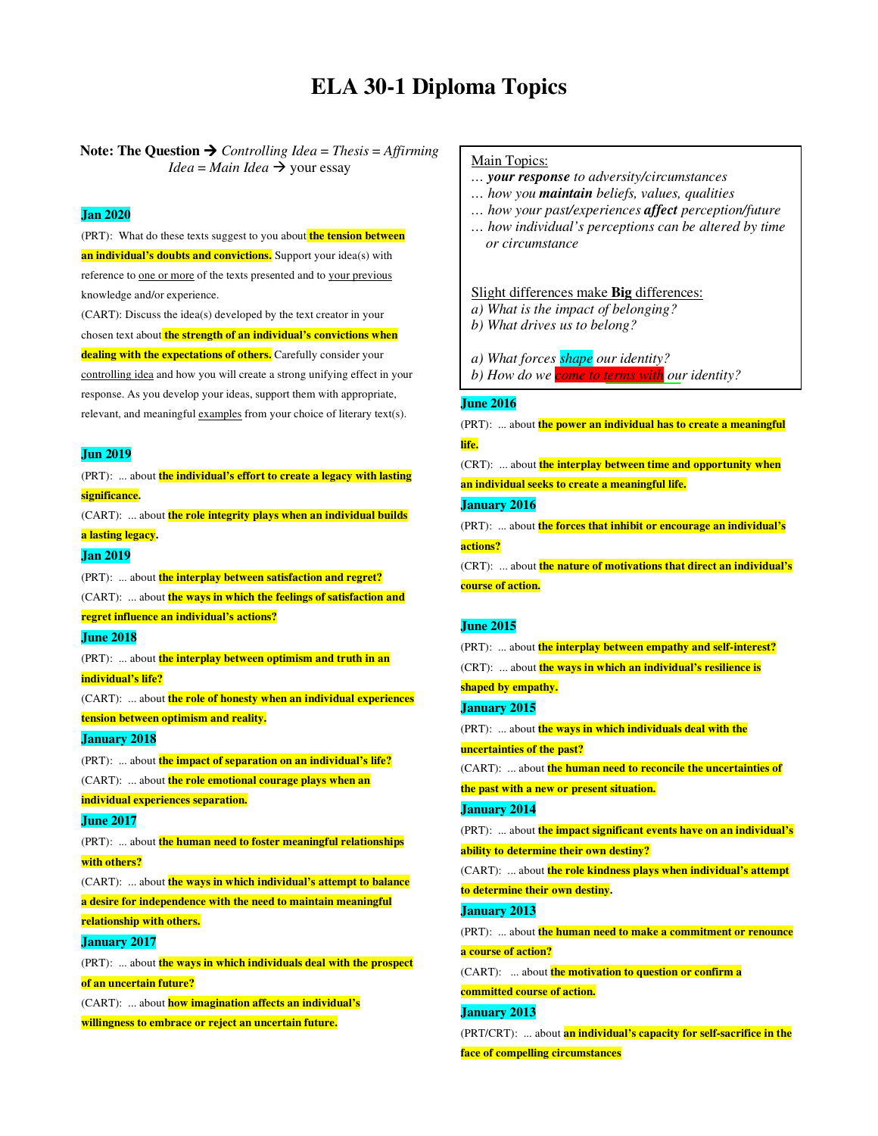# **ELA 30-1 Diploma Topics**

# Note: The Question  $\rightarrow$  *Controlling Idea* = *Thesis* = *Affirming Idea* = *Main Idea*  $\rightarrow$  your essay

### **Jan 2020**

(PRT): What do these texts suggest to you about **the tension between an individual's doubts and convictions.** Support your idea(s) with reference to one or more of the texts presented and to your previous knowledge and/or experience.

(CART): Discuss the idea(s) developed by the text creator in your chosen text about **the strength of an individual's convictions when dealing with the expectations of others.** Carefully consider your controlling idea and how you will create a strong unifying effect in your response. As you develop your ideas, support them with appropriate, relevant, and meaningful examples from your choice of literary text(s).

#### **Jun 2019**

(PRT): ... about **the individual's effort to create a legacy with lasting significance.**  (CART): ... about **the role integrity plays when an individual builds a lasting legacy. Jan 2019**  (PRT): ... about **the interplay between satisfaction and regret?**  (CART): ... about **the ways in which the feelings of satisfaction and regret influence an individual's actions? June 2018**  (PRT): ... about **the interplay between optimism and truth in an individual's life?**  (CART): ... about **the role of honesty when an individual experiences tension between optimism and reality. January 2018**  (PRT): ... about **the impact of separation on an individual's life?**  (CART): ... about **the role emotional courage plays when an individual experiences separation. June 2017**  (PRT): ... about **the human need to foster meaningful relationships with others?**  (CART): ... about **the ways in which individual's attempt to balance a desire for independence with the need to maintain meaningful relationship with others. January 2017**  (PRT): ... about **the ways in which individuals deal with the prospect of an uncertain future?**  (CART): ... about **how imagination affects an individual's willingness to embrace or reject an uncertain future.** 

# Main Topics:

- *… your response to adversity/circumstances*
- *… how you maintain beliefs, values, qualities*
- *… how your past/experiences affect perception/future*
- *… how individual's perceptions can be altered by time or circumstance*

#### Slight differences make **Big** differences:

- *a) What is the impact of belonging?*
- *b) What drives us to belong?*
- *a) What forces shape our identity?*
- *b) How do we come to terms with our identity?*

#### **June 2016**  *c) What circumstances help you find your identity?*

(PRT): ... about **the power an individual has to create a meaningful life.** 

(CRT): ... about **the interplay between time and opportunity when** 

**an individual seeks to create a meaningful life.** 

# **January 2016**

(PRT): ... about **the forces that inhibit or encourage an individual's actions?** 

(CRT): ... about **the nature of motivations that direct an individual's course of action.** 

#### **June 2015**

```
(PRT): ... about the interplay between empathy and self-interest? 
(CRT): ... about the ways in which an individual's resilience is 
shaped by empathy. 
January 2015 
(PRT): ... about the ways in which individuals deal with the 
uncertainties of the past?
```
(CART): ... about **the human need to reconcile the uncertainties of** 

**the past with a new or present situation.** 

# **January 2014**

(PRT): ... about **the impact significant events have on an individual's ability to determine their own destiny?** 

(CART): ... about **the role kindness plays when individual's attempt to determine their own destiny.** 

#### **January 2013**

(PRT): ... about **the human need to make a commitment or renounce a course of action?** 

(CART): ... about **the motivation to question or confirm a committed course of action.** 

**January 2013** 

(PRT/CRT): ... about **an individual's capacity for self-sacrifice in the** 

**face of compelling circumstances**